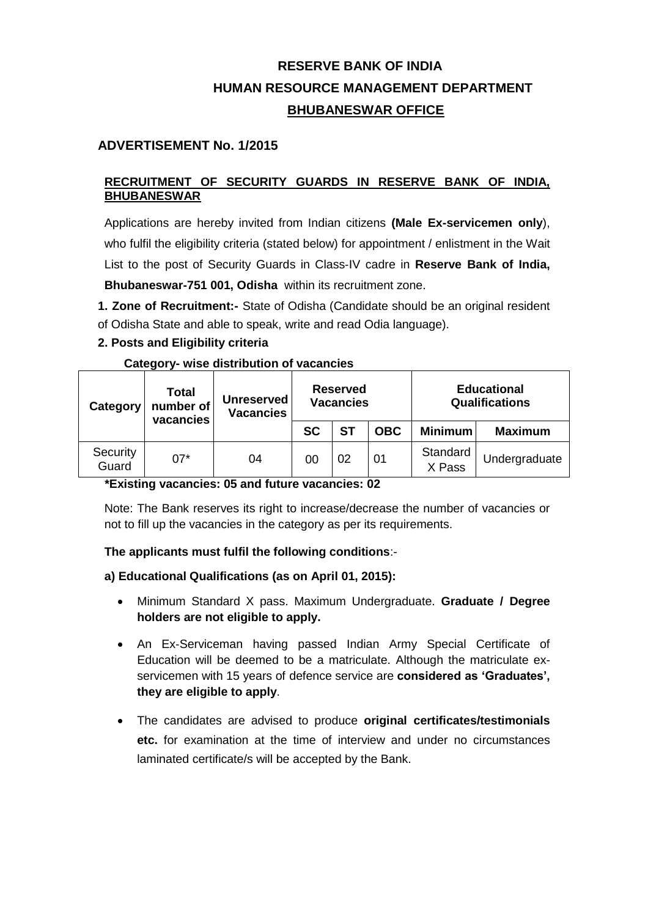# **RESERVE BANK OF INDIA HUMAN RESOURCE MANAGEMENT DEPARTMENT BHUBANESWAR OFFICE**

# **ADVERTISEMENT No. 1/2015**

### **RECRUITMENT OF SECURITY GUARDS IN RESERVE BANK OF INDIA, BHUBANESWAR**

Applications are hereby invited from Indian citizens **(Male Ex-servicemen only**), who fulfil the eligibility criteria (stated below) for appointment / enlistment in the Wait List to the post of Security Guards in Class‐IV cadre in **Reserve Bank of India, Bhubaneswar-751 001, Odisha** within its recruitment zone.

**1. Zone of Recruitment:-** State of Odisha (Candidate should be an original resident of Odisha State and able to speak, write and read Odia language).

## **2. Posts and Eligibility criteria**

**Category- wise distribution of vacancies** 

| Category          | <b>Total</b><br>number of<br>vacancies | Unreserved<br><b>Vacancies</b> |           | <b>Reserved</b><br><b>Vacancies</b> |            | <b>Educational</b><br><b>Qualifications</b> |                |  |  |
|-------------------|----------------------------------------|--------------------------------|-----------|-------------------------------------|------------|---------------------------------------------|----------------|--|--|
|                   |                                        |                                | <b>SC</b> | <b>ST</b>                           | <b>OBC</b> | <b>Minimum</b>                              | <b>Maximum</b> |  |  |
| Security<br>Guard | $07*$                                  | 04                             | 00        | 02                                  | 01         | Standard<br>X Pass                          | Undergraduate  |  |  |

## **\*Existing vacancies: 05 and future vacancies: 02**

Note: The Bank reserves its right to increase/decrease the number of vacancies or not to fill up the vacancies in the category as per its requirements.

## **The applicants must fulfil the following conditions**:-

#### **a) Educational Qualifications (as on April 01, 2015):**

- Minimum Standard X pass. Maximum Undergraduate. **Graduate / Degree holders are not eligible to apply.**
- An Ex‐Serviceman having passed Indian Army Special Certificate of Education will be deemed to be a matriculate. Although the matriculate exservicemen with 15 years of defence service are **considered as 'Graduates', they are eligible to apply**.
- The candidates are advised to produce **original certificates/testimonials etc.** for examination at the time of interview and under no circumstances laminated certificate/s will be accepted by the Bank.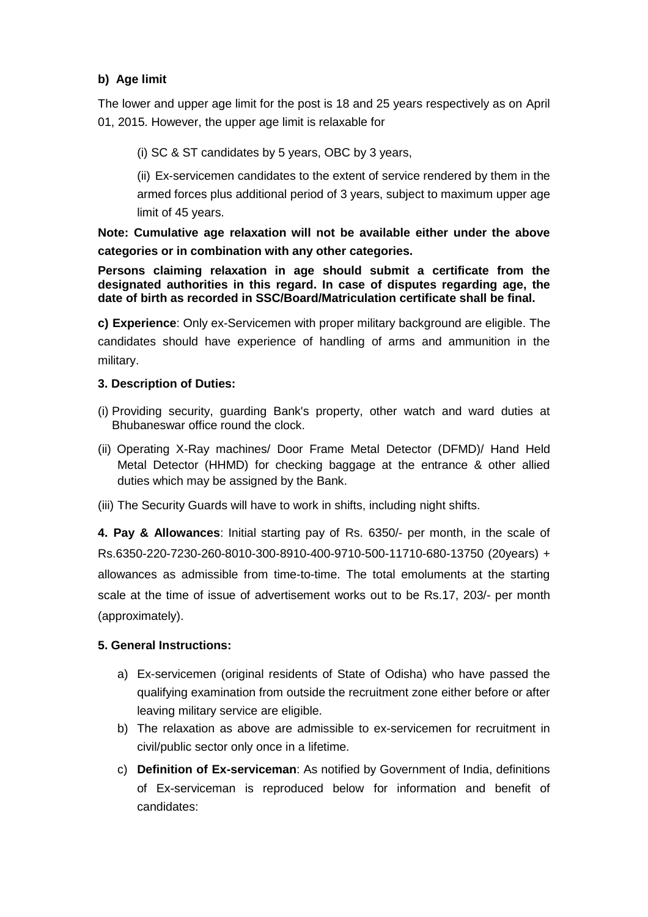# **b) Age limit**

The lower and upper age limit for the post is 18 and 25 years respectively as on April 01, 2015. However, the upper age limit is relaxable for

(i) SC & ST candidates by 5 years, OBC by 3 years,

(ii) Ex-servicemen candidates to the extent of service rendered by them in the armed forces plus additional period of 3 years, subject to maximum upper age limit of 45 years.

**Note: Cumulative age relaxation will not be available either under the above categories or in combination with any other categories.**

**Persons claiming relaxation in age should submit a certificate from the designated authorities in this regard. In case of disputes regarding age, the date of birth as recorded in SSC/Board/Matriculation certificate shall be final.**

**c) Experience**: Only ex-Servicemen with proper military background are eligible. The candidates should have experience of handling of arms and ammunition in the military.

#### **3. Description of Duties:**

- (i) Providing security, guarding Bank's property, other watch and ward duties at Bhubaneswar office round the clock.
- (ii) Operating X-Ray machines/ Door Frame Metal Detector (DFMD)/ Hand Held Metal Detector (HHMD) for checking baggage at the entrance & other allied duties which may be assigned by the Bank.
- (iii) The Security Guards will have to work in shifts, including night shifts.

**4. Pay & Allowances**: Initial starting pay of Rs. 6350/- per month, in the scale of Rs.6350-220-7230-260-8010-300-8910-400-9710-500-11710-680-13750 (20years) + allowances as admissible from time-to-time. The total emoluments at the starting scale at the time of issue of advertisement works out to be Rs.17, 203/- per month (approximately).

## **5. General Instructions:**

- a) Ex-servicemen (original residents of State of Odisha) who have passed the qualifying examination from outside the recruitment zone either before or after leaving military service are eligible.
- b) The relaxation as above are admissible to ex-servicemen for recruitment in civil/public sector only once in a lifetime.
- c) **Definition of Ex-serviceman**: As notified by Government of India, definitions of Ex-serviceman is reproduced below for information and benefit of candidates: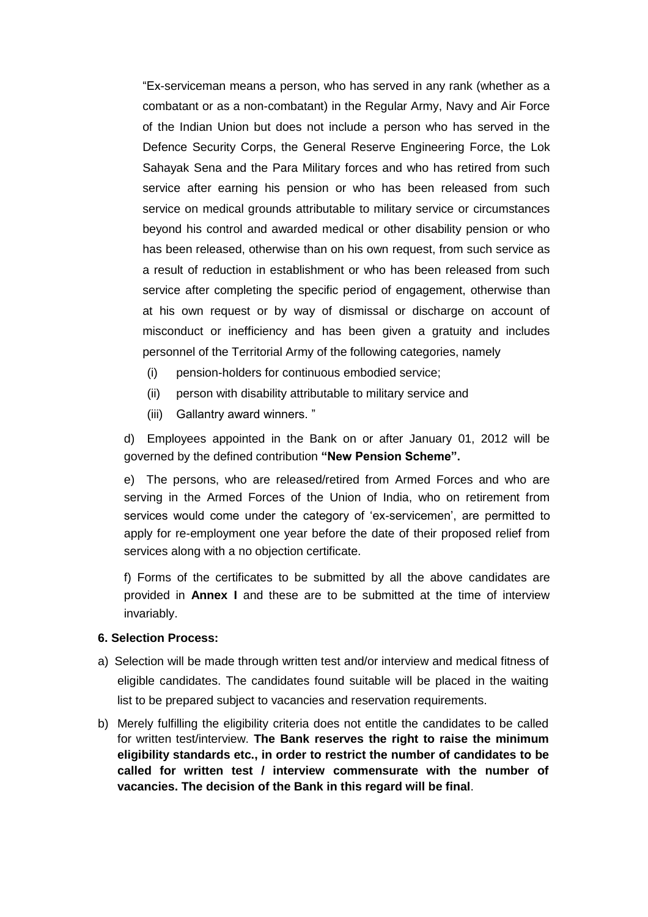"Ex-serviceman means a person, who has served in any rank (whether as a combatant or as a non-combatant) in the Regular Army, Navy and Air Force of the Indian Union but does not include a person who has served in the Defence Security Corps, the General Reserve Engineering Force, the Lok Sahayak Sena and the Para Military forces and who has retired from such service after earning his pension or who has been released from such service on medical grounds attributable to military service or circumstances beyond his control and awarded medical or other disability pension or who has been released, otherwise than on his own request, from such service as a result of reduction in establishment or who has been released from such service after completing the specific period of engagement, otherwise than at his own request or by way of dismissal or discharge on account of misconduct or inefficiency and has been given a gratuity and includes personnel of the Territorial Army of the following categories, namely

- (i) pension-holders for continuous embodied service;
- (ii) person with disability attributable to military service and
- (iii) Gallantry award winners. "

d) Employees appointed in the Bank on or after January 01, 2012 will be governed by the defined contribution **"New Pension Scheme".**

e) The persons, who are released/retired from Armed Forces and who are serving in the Armed Forces of the Union of India, who on retirement from services would come under the category of 'ex-servicemen', are permitted to apply for re-employment one year before the date of their proposed relief from services along with a no objection certificate.

f) Forms of the certificates to be submitted by all the above candidates are provided in **Annex I** and these are to be submitted at the time of interview invariably.

#### **6. Selection Process:**

- a) Selection will be made through written test and/or interview and medical fitness of eligible candidates. The candidates found suitable will be placed in the waiting list to be prepared subject to vacancies and reservation requirements.
- b) Merely fulfilling the eligibility criteria does not entitle the candidates to be called for written test/interview. **The Bank reserves the right to raise the minimum eligibility standards etc., in order to restrict the number of candidates to be called for written test / interview commensurate with the number of vacancies. The decision of the Bank in this regard will be final**.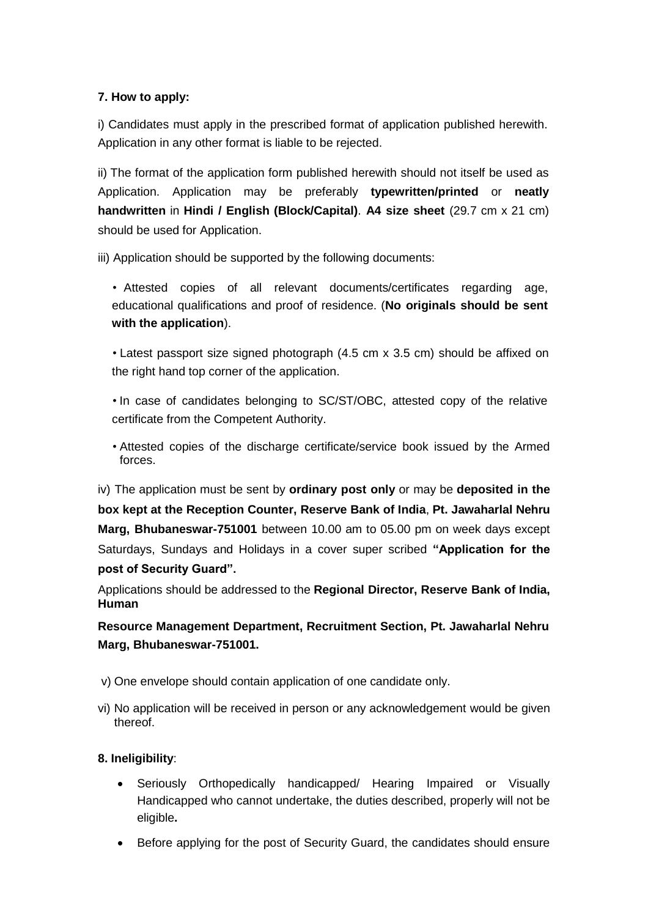# **7. How to apply:**

i) Candidates must apply in the prescribed format of application published herewith. Application in any other format is liable to be rejected.

ii) The format of the application form published herewith should not itself be used as Application. Application may be preferably **typewritten/printed** or **neatly handwritten** in **Hindi / English (Block/Capital)**. **A4 size sheet** (29.7 cm x 21 cm) should be used for Application.

iii) Application should be supported by the following documents:

• Attested copies of all relevant documents/certificates regarding age, educational qualifications and proof of residence. (**No originals should be sent with the application**).

• Latest passport size signed photograph (4.5 cm x 3.5 cm) should be affixed on the right hand top corner of the application.

• In case of candidates belonging to SC/ST/OBC, attested copy of the relative certificate from the Competent Authority.

• Attested copies of the discharge certificate/service book issued by the Armed forces.

iv) The application must be sent by **ordinary post only** or may be **deposited in the box kept at the Reception Counter, Reserve Bank of India**, **Pt. Jawaharlal Nehru Marg, Bhubaneswar-751001** between 10.00 am to 05.00 pm on week days except Saturdays, Sundays and Holidays in a cover super scribed **"Application for the post of Security Guard".**

Applications should be addressed to the **Regional Director, Reserve Bank of India, Human**

**Resource Management Department, Recruitment Section, Pt. Jawaharlal Nehru Marg, Bhubaneswar-751001.** 

- v) One envelope should contain application of one candidate only.
- vi) No application will be received in person or any acknowledgement would be given thereof.

## **8. Ineligibility**:

- Seriously Orthopedically handicapped/ Hearing Impaired or Visually Handicapped who cannot undertake, the duties described, properly will not be eligible**.**
- Before applying for the post of Security Guard, the candidates should ensure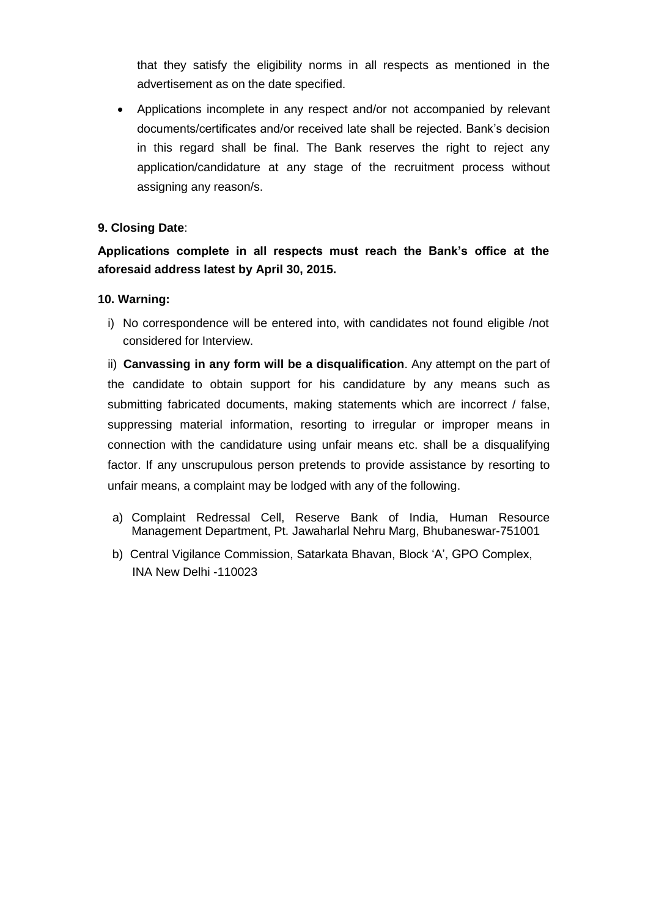that they satisfy the eligibility norms in all respects as mentioned in the advertisement as on the date specified.

 Applications incomplete in any respect and/or not accompanied by relevant documents/certificates and/or received late shall be rejected. Bank's decision in this regard shall be final. The Bank reserves the right to reject any application/candidature at any stage of the recruitment process without assigning any reason/s.

#### **9. Closing Date**:

**Applications complete in all respects must reach the Bank's office at the aforesaid address latest by April 30, 2015.**

#### **10. Warning:**

i) No correspondence will be entered into, with candidates not found eligible /not considered for Interview.

ii) **Canvassing in any form will be a disqualification**. Any attempt on the part of the candidate to obtain support for his candidature by any means such as submitting fabricated documents, making statements which are incorrect / false, suppressing material information, resorting to irregular or improper means in connection with the candidature using unfair means etc. shall be a disqualifying factor. If any unscrupulous person pretends to provide assistance by resorting to unfair means, a complaint may be lodged with any of the following.

- a) Complaint Redressal Cell, Reserve Bank of India, Human Resource Management Department, Pt. Jawaharlal Nehru Marg, Bhubaneswar-751001
- b) Central Vigilance Commission, Satarkata Bhavan, Block 'A', GPO Complex, INA New Delhi -110023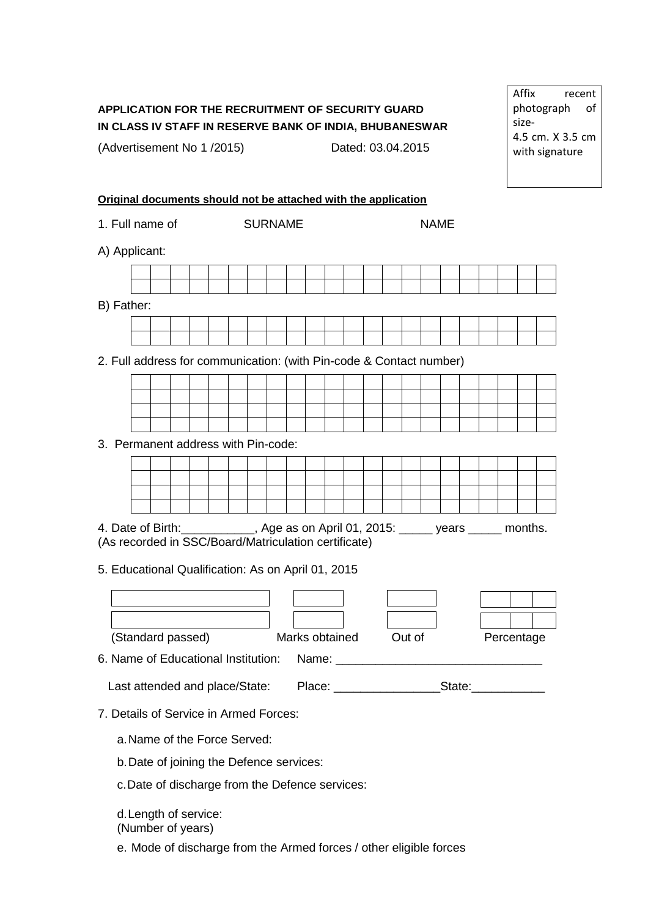# **APPLICATION FOR THE RECRUITMENT OF SECURITY GUARD IN CLASS IV STAFF IN RESERVE BANK OF INDIA, BHUBANESWAR**

(Advertisement No 1 /2015) Dated: 03.04.2015

**Original documents should not be attached with the application**

1. Full name of SURNAME

A) Applicant:

| B) Father:                                                                         |                                                                     |  |  |  |  |  |  |  |  |  |  |  |  |  |  |  |
|------------------------------------------------------------------------------------|---------------------------------------------------------------------|--|--|--|--|--|--|--|--|--|--|--|--|--|--|--|
|                                                                                    |                                                                     |  |  |  |  |  |  |  |  |  |  |  |  |  |  |  |
|                                                                                    |                                                                     |  |  |  |  |  |  |  |  |  |  |  |  |  |  |  |
|                                                                                    | 2. Full address for communication: (with Pin-code & Contact number) |  |  |  |  |  |  |  |  |  |  |  |  |  |  |  |
|                                                                                    |                                                                     |  |  |  |  |  |  |  |  |  |  |  |  |  |  |  |
|                                                                                    |                                                                     |  |  |  |  |  |  |  |  |  |  |  |  |  |  |  |
|                                                                                    |                                                                     |  |  |  |  |  |  |  |  |  |  |  |  |  |  |  |
| 3. Permanent address with Pin-code:                                                |                                                                     |  |  |  |  |  |  |  |  |  |  |  |  |  |  |  |
|                                                                                    |                                                                     |  |  |  |  |  |  |  |  |  |  |  |  |  |  |  |
|                                                                                    |                                                                     |  |  |  |  |  |  |  |  |  |  |  |  |  |  |  |
|                                                                                    |                                                                     |  |  |  |  |  |  |  |  |  |  |  |  |  |  |  |
| 4. Date of Birth: ___________, Age as on April 01, 2015: _____ years _____ months. |                                                                     |  |  |  |  |  |  |  |  |  |  |  |  |  |  |  |
|                                                                                    | (As recorded in SSC/Board/Matriculation certificate)                |  |  |  |  |  |  |  |  |  |  |  |  |  |  |  |
| 5. Educational Qualification: As on April 01, 2015                                 |                                                                     |  |  |  |  |  |  |  |  |  |  |  |  |  |  |  |
|                                                                                    |                                                                     |  |  |  |  |  |  |  |  |  |  |  |  |  |  |  |
|                                                                                    |                                                                     |  |  |  |  |  |  |  |  |  |  |  |  |  |  |  |
|                                                                                    |                                                                     |  |  |  |  |  |  |  |  |  |  |  |  |  |  |  |
| Marks obtained Out of<br>(Standard passed)<br>Percentage                           |                                                                     |  |  |  |  |  |  |  |  |  |  |  |  |  |  |  |
|                                                                                    |                                                                     |  |  |  |  |  |  |  |  |  |  |  |  |  |  |  |
|                                                                                    |                                                                     |  |  |  |  |  |  |  |  |  |  |  |  |  |  |  |
| 7. Details of Service in Armed Forces:                                             |                                                                     |  |  |  |  |  |  |  |  |  |  |  |  |  |  |  |
| a. Name of the Force Served:                                                       |                                                                     |  |  |  |  |  |  |  |  |  |  |  |  |  |  |  |
| b. Date of joining the Defence services:                                           |                                                                     |  |  |  |  |  |  |  |  |  |  |  |  |  |  |  |
| c. Date of discharge from the Defence services:                                    |                                                                     |  |  |  |  |  |  |  |  |  |  |  |  |  |  |  |
| d. Length of service:                                                              |                                                                     |  |  |  |  |  |  |  |  |  |  |  |  |  |  |  |
| (Number of years)                                                                  |                                                                     |  |  |  |  |  |  |  |  |  |  |  |  |  |  |  |
|                                                                                    | e. Mode of discharge from the Armed forces / other eligible forces  |  |  |  |  |  |  |  |  |  |  |  |  |  |  |  |

Affix recent photograph of size-4.5 cm. X 3.5 cm with signature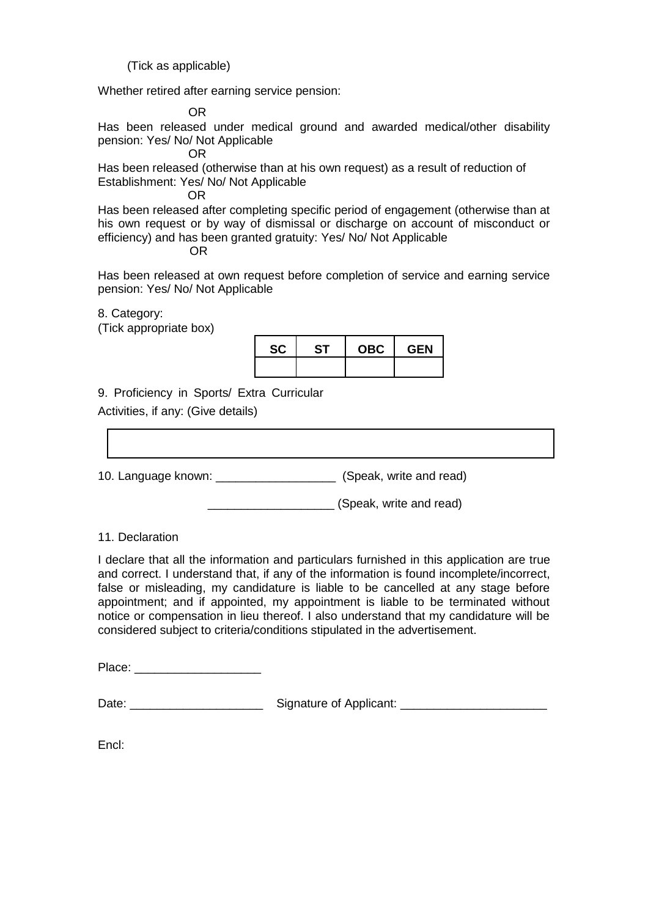(Tick as applicable)

Whether retired after earning service pension:

OR

Has been released under medical ground and awarded medical/other disability pension: Yes/ No/ Not Applicable

OR

Has been released (otherwise than at his own request) as a result of reduction of Establishment: Yes/ No/ Not Applicable

OR

Has been released after completing specific period of engagement (otherwise than at his own request or by way of dismissal or discharge on account of misconduct or efficiency) and has been granted gratuity: Yes/ No/ Not Applicable

OR

Has been released at own request before completion of service and earning service pension: Yes/ No/ Not Applicable

8. Category:

(Tick appropriate box)



9. Proficiency in Sports/ Extra Curricular

Activities, if any: (Give details)

10. Language known: \_\_\_\_\_\_\_\_\_\_\_\_\_\_\_\_\_\_ (Speak, write and read)

\_\_\_\_\_\_\_\_\_\_\_\_\_\_\_\_\_\_\_ (Speak, write and read)

#### 11. Declaration

I declare that all the information and particulars furnished in this application are true and correct. I understand that, if any of the information is found incomplete/incorrect, false or misleading, my candidature is liable to be cancelled at any stage before appointment; and if appointed, my appointment is liable to be terminated without notice or compensation in lieu thereof. I also understand that my candidature will be considered subject to criteria/conditions stipulated in the advertisement.

Place: \_\_\_\_\_\_\_\_\_\_\_\_\_\_\_\_\_\_\_

| Date: | Signature of Applicant: |
|-------|-------------------------|
|-------|-------------------------|

Encl: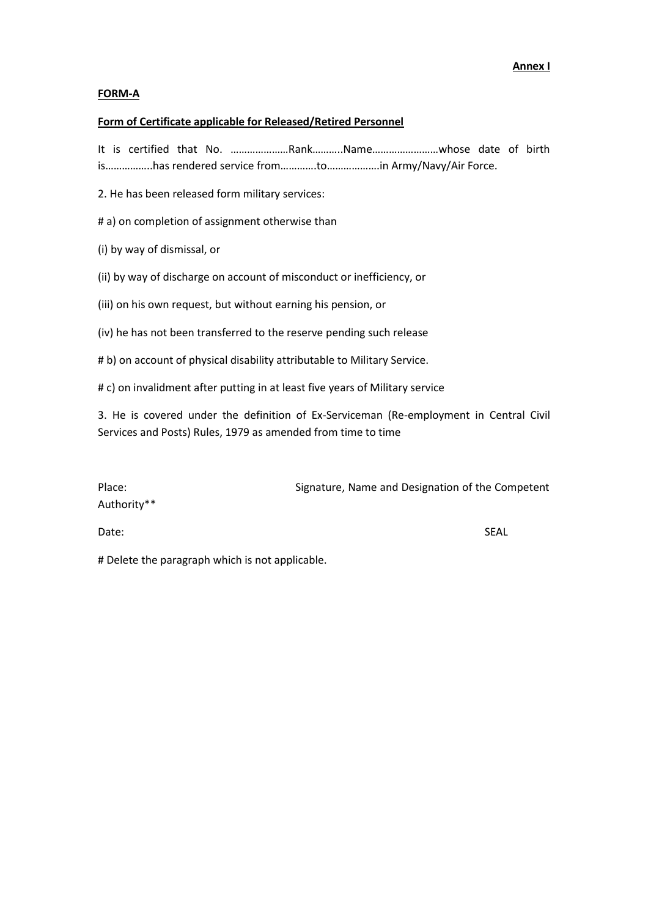#### **FORM-A**

#### **Form of Certificate applicable for Released/Retired Personnel**

It is certified that No. …………………Rank………..Name……………………whose date of birth is……………..has rendered service from………….to……………….in Army/Navy/Air Force.

2. He has been released form military services:

# a) on completion of assignment otherwise than

(i) by way of dismissal, or

(ii) by way of discharge on account of misconduct or inefficiency, or

(iii) on his own request, but without earning his pension, or

(iv) he has not been transferred to the reserve pending such release

# b) on account of physical disability attributable to Military Service.

# c) on invalidment after putting in at least five years of Military service

3. He is covered under the definition of Ex-Serviceman (Re-employment in Central Civil Services and Posts) Rules, 1979 as amended from time to time

| Place:      | Signature, Name and Designation of the Competent |      |
|-------------|--------------------------------------------------|------|
| Authority** |                                                  |      |
| Date:       |                                                  | SEAL |

# Delete the paragraph which is not applicable.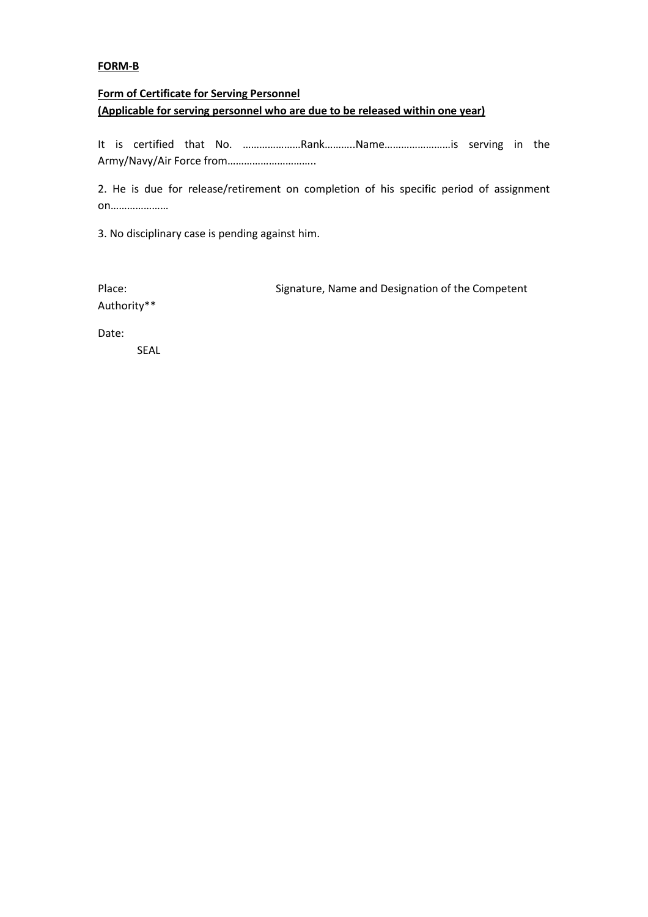#### **FORM-B**

# **Form of Certificate for Serving Personnel (Applicable for serving personnel who are due to be released within one year)**

It is certified that No. …………………Rank………..Name……………………is serving in the Army/Navy/Air Force from…………………………..

2. He is due for release/retirement on completion of his specific period of assignment on…………………

3. No disciplinary case is pending against him.

Authority\*\*

Place: Signature, Name and Designation of the Competent

Date:

SEAL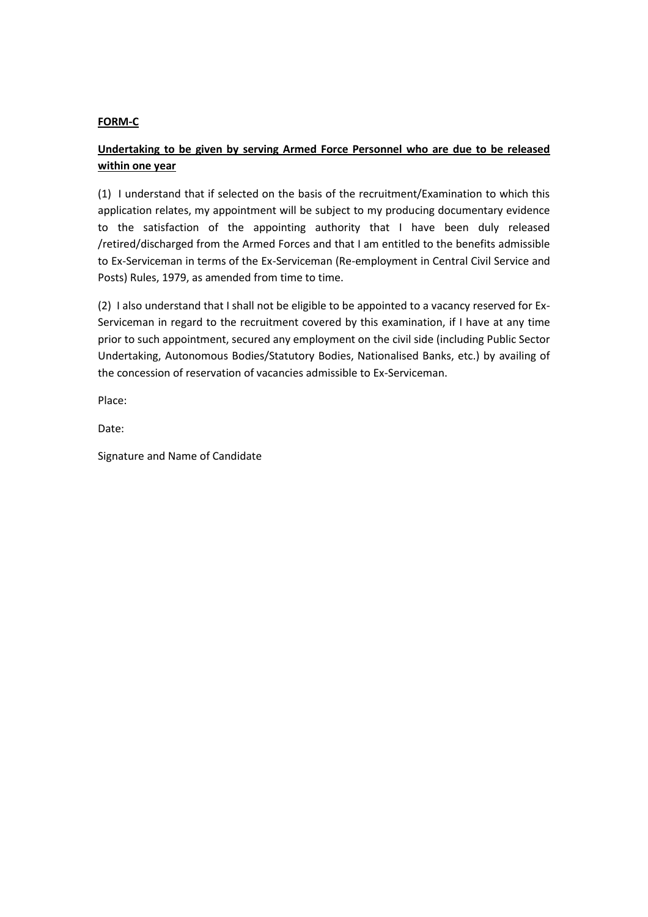#### **FORM-C**

# **Undertaking to be given by serving Armed Force Personnel who are due to be released within one year**

(1) I understand that if selected on the basis of the recruitment/Examination to which this application relates, my appointment will be subject to my producing documentary evidence to the satisfaction of the appointing authority that I have been duly released /retired/discharged from the Armed Forces and that I am entitled to the benefits admissible to Ex-Serviceman in terms of the Ex-Serviceman (Re-employment in Central Civil Service and Posts) Rules, 1979, as amended from time to time.

(2) I also understand that I shall not be eligible to be appointed to a vacancy reserved for Ex-Serviceman in regard to the recruitment covered by this examination, if I have at any time prior to such appointment, secured any employment on the civil side (including Public Sector Undertaking, Autonomous Bodies/Statutory Bodies, Nationalised Banks, etc.) by availing of the concession of reservation of vacancies admissible to Ex-Serviceman.

Place:

Date:

Signature and Name of Candidate